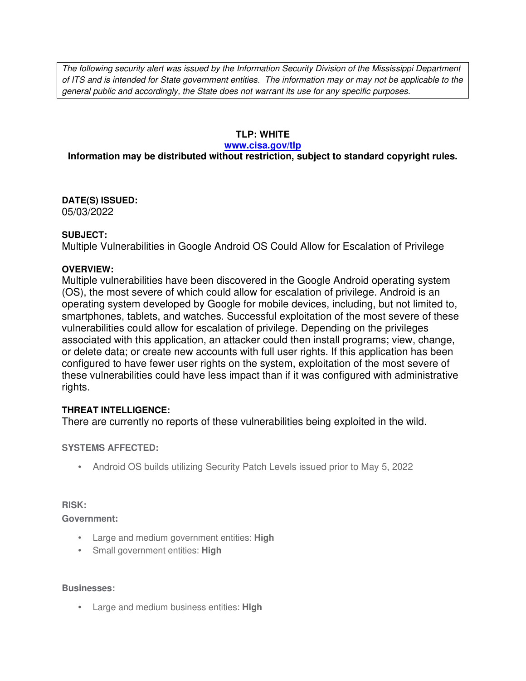The following security alert was issued by the Information Security Division of the Mississippi Department of ITS and is intended for State government entities. The information may or may not be applicable to the general public and accordingly, the State does not warrant its use for any specific purposes.

## **TLP: WHITE**

#### **www.cisa.gov/tlp**

# **Information may be distributed without restriction, subject to standard copyright rules.**

**DATE(S) ISSUED:** 05/03/2022

### **SUBJECT:**

Multiple Vulnerabilities in Google Android OS Could Allow for Escalation of Privilege

### **OVERVIEW:**

Multiple vulnerabilities have been discovered in the Google Android operating system (OS), the most severe of which could allow for escalation of privilege. Android is an operating system developed by Google for mobile devices, including, but not limited to, smartphones, tablets, and watches. Successful exploitation of the most severe of these vulnerabilities could allow for escalation of privilege. Depending on the privileges associated with this application, an attacker could then install programs; view, change, or delete data; or create new accounts with full user rights. If this application has been configured to have fewer user rights on the system, exploitation of the most severe of these vulnerabilities could have less impact than if it was configured with administrative rights.

### **THREAT INTELLIGENCE:**

There are currently no reports of these vulnerabilities being exploited in the wild.

#### **SYSTEMS AFFECTED:**

• Android OS builds utilizing Security Patch Levels issued prior to May 5, 2022

#### **RISK:**

**Government:**

- Large and medium government entities: **High**
- Small government entities: **High**

#### **Businesses:**

• Large and medium business entities: **High**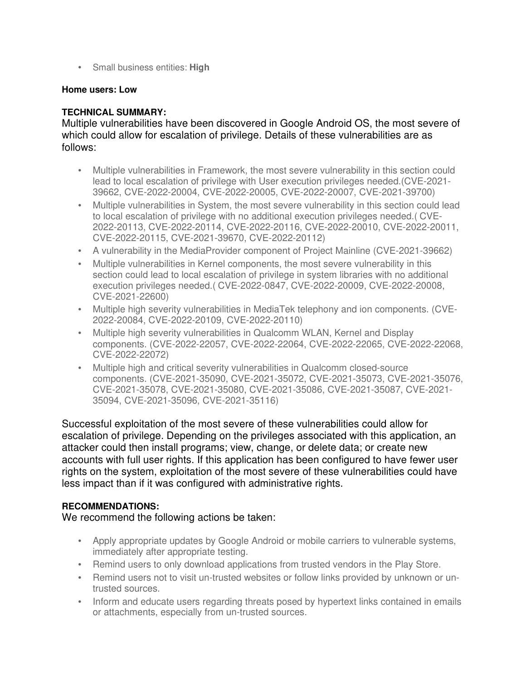• Small business entities: **High**

### **Home users: Low**

## **TECHNICAL SUMMARY:**

Multiple vulnerabilities have been discovered in Google Android OS, the most severe of which could allow for escalation of privilege. Details of these vulnerabilities are as follows:

- Multiple vulnerabilities in Framework, the most severe vulnerability in this section could lead to local escalation of privilege with User execution privileges needed.(CVE-2021- 39662, CVE-2022-20004, CVE-2022-20005, CVE-2022-20007, CVE-2021-39700)
- Multiple vulnerabilities in System, the most severe vulnerability in this section could lead to local escalation of privilege with no additional execution privileges needed.( CVE-2022-20113, CVE-2022-20114, CVE-2022-20116, CVE-2022-20010, CVE-2022-20011, CVE-2022-20115, CVE-2021-39670, CVE-2022-20112)
- A vulnerability in the MediaProvider component of Project Mainline (CVE-2021-39662)
- Multiple vulnerabilities in Kernel components, the most severe vulnerability in this section could lead to local escalation of privilege in system libraries with no additional execution privileges needed.( CVE-2022-0847, CVE-2022-20009, CVE-2022-20008, CVE-2021-22600)
- Multiple high severity vulnerabilities in MediaTek telephony and ion components. (CVE-2022-20084, CVE-2022-20109, CVE-2022-20110)
- Multiple high severity vulnerabilities in Qualcomm WLAN, Kernel and Display components. (CVE-2022-22057, CVE-2022-22064, CVE-2022-22065, CVE-2022-22068, CVE-2022-22072)
- Multiple high and critical severity vulnerabilities in Qualcomm closed-source components. (CVE-2021-35090, CVE-2021-35072, CVE-2021-35073, CVE-2021-35076, CVE-2021-35078, CVE-2021-35080, CVE-2021-35086, CVE-2021-35087, CVE-2021- 35094, CVE-2021-35096, CVE-2021-35116)

Successful exploitation of the most severe of these vulnerabilities could allow for escalation of privilege. Depending on the privileges associated with this application, an attacker could then install programs; view, change, or delete data; or create new accounts with full user rights. If this application has been configured to have fewer user rights on the system, exploitation of the most severe of these vulnerabilities could have less impact than if it was configured with administrative rights.

# **RECOMMENDATIONS:**

We recommend the following actions be taken:

- Apply appropriate updates by Google Android or mobile carriers to vulnerable systems, immediately after appropriate testing.
- Remind users to only download applications from trusted vendors in the Play Store.
- Remind users not to visit un-trusted websites or follow links provided by unknown or untrusted sources.
- Inform and educate users regarding threats posed by hypertext links contained in emails or attachments, especially from un-trusted sources.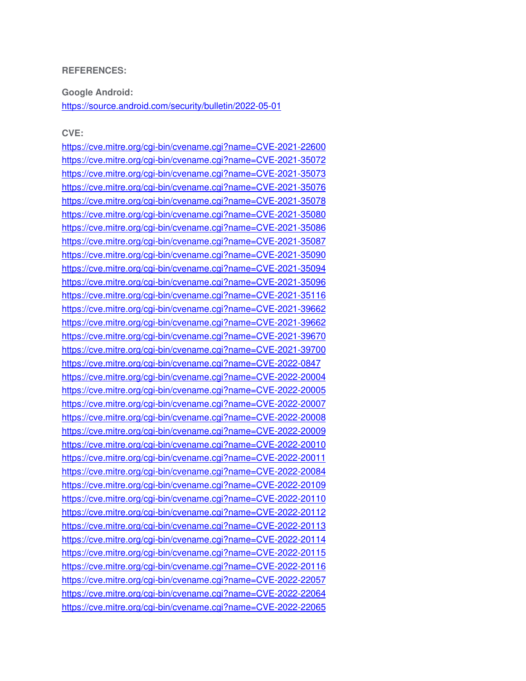#### **REFERENCES:**

**Google Android:**

https://source.android.com/security/bulletin/2022-05-01

#### **CVE:**

https://cve.mitre.org/cgi-bin/cvename.cgi?name=CVE-2021-22600 https://cve.mitre.org/cgi-bin/cvename.cgi?name=CVE-2021-35072 https://cve.mitre.org/cgi-bin/cvename.cgi?name=CVE-2021-35073 https://cve.mitre.org/cgi-bin/cvename.cgi?name=CVE-2021-35076 https://cve.mitre.org/cgi-bin/cvename.cgi?name=CVE-2021-35078 https://cve.mitre.org/cgi-bin/cvename.cgi?name=CVE-2021-35080 https://cve.mitre.org/cgi-bin/cvename.cgi?name=CVE-2021-35086 https://cve.mitre.org/cgi-bin/cvename.cgi?name=CVE-2021-35087 https://cve.mitre.org/cgi-bin/cvename.cgi?name=CVE-2021-35090 https://cve.mitre.org/cgi-bin/cvename.cgi?name=CVE-2021-35094 https://cve.mitre.org/cgi-bin/cvename.cgi?name=CVE-2021-35096 https://cve.mitre.org/cgi-bin/cvename.cgi?name=CVE-2021-35116 https://cve.mitre.org/cgi-bin/cvename.cgi?name=CVE-2021-39662 https://cve.mitre.org/cgi-bin/cvename.cgi?name=CVE-2021-39662 https://cve.mitre.org/cgi-bin/cvename.cgi?name=CVE-2021-39670 https://cve.mitre.org/cgi-bin/cvename.cgi?name=CVE-2021-39700 https://cve.mitre.org/cgi-bin/cvename.cgi?name=CVE-2022-0847 https://cve.mitre.org/cgi-bin/cvename.cgi?name=CVE-2022-20004 https://cve.mitre.org/cgi-bin/cvename.cgi?name=CVE-2022-20005 https://cve.mitre.org/cgi-bin/cvename.cgi?name=CVE-2022-20007 https://cve.mitre.org/cgi-bin/cvename.cgi?name=CVE-2022-20008 https://cve.mitre.org/cgi-bin/cvename.cgi?name=CVE-2022-20009 https://cve.mitre.org/cgi-bin/cvename.cgi?name=CVE-2022-20010 https://cve.mitre.org/cgi-bin/cvename.cgi?name=CVE-2022-20011 https://cve.mitre.org/cgi-bin/cvename.cgi?name=CVE-2022-20084 https://cve.mitre.org/cgi-bin/cvename.cgi?name=CVE-2022-20109 https://cve.mitre.org/cgi-bin/cvename.cgi?name=CVE-2022-20110 https://cve.mitre.org/cgi-bin/cvename.cgi?name=CVE-2022-20112 https://cve.mitre.org/cgi-bin/cvename.cgi?name=CVE-2022-20113 https://cve.mitre.org/cgi-bin/cvename.cgi?name=CVE-2022-20114 https://cve.mitre.org/cgi-bin/cvename.cgi?name=CVE-2022-20115 https://cve.mitre.org/cgi-bin/cvename.cgi?name=CVE-2022-20116 https://cve.mitre.org/cgi-bin/cvename.cgi?name=CVE-2022-22057 https://cve.mitre.org/cgi-bin/cvename.cgi?name=CVE-2022-22064 https://cve.mitre.org/cgi-bin/cvename.cgi?name=CVE-2022-22065